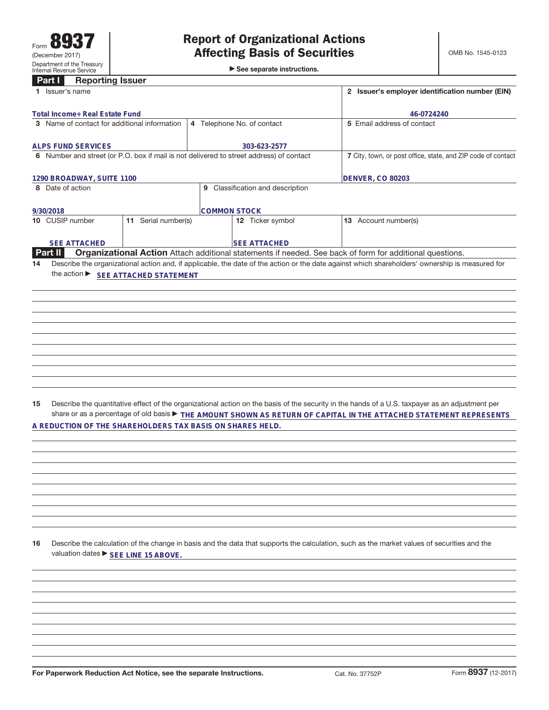See separate instructions.

## **Part I Reporting Issuer**

| Part I<br><b>Reporting issuer</b>                                                       |                                     |                                  |                                                                                                                                                 |
|-----------------------------------------------------------------------------------------|-------------------------------------|----------------------------------|-------------------------------------------------------------------------------------------------------------------------------------------------|
| 1 Issuer's name                                                                         |                                     |                                  | 2 Issuer's employer identification number (EIN)                                                                                                 |
| Total Income+ Real Estate Fund                                                          |                                     |                                  | 46-0724240                                                                                                                                      |
| 3 Name of contact for additional information                                            |                                     | 5 Email address of contact       |                                                                                                                                                 |
| <b>ALPS FUND SERVICES</b>                                                               |                                     | 303-623-2577                     |                                                                                                                                                 |
| 6 Number and street (or P.O. box if mail is not delivered to street address) of contact |                                     |                                  | 7 City, town, or post office, state, and ZIP code of contact                                                                                    |
|                                                                                         |                                     |                                  |                                                                                                                                                 |
| 1290 BROADWAY, SUITE 1100                                                               |                                     |                                  | <b>DENVER, CO 80203</b>                                                                                                                         |
| 8 Date of action                                                                        |                                     | 9 Classification and description |                                                                                                                                                 |
| 9/30/2018                                                                               |                                     | <b>COMMON STOCK</b>              |                                                                                                                                                 |
| 10 CUSIP number                                                                         | 11 Serial number(s)                 | 12 Ticker symbol                 | 13 Account number(s)                                                                                                                            |
| <b>SEE ATTACHED</b>                                                                     |                                     | <b>SEE ATTACHED</b>              |                                                                                                                                                 |
| Part II                                                                                 |                                     |                                  | Organizational Action Attach additional statements if needed. See back of form for additional questions.                                        |
| 14                                                                                      |                                     |                                  | Describe the organizational action and, if applicable, the date of the action or the date against which shareholders' ownership is measured for |
|                                                                                         | the action ▶ SEE ATTACHED STATEMENT |                                  |                                                                                                                                                 |
|                                                                                         |                                     |                                  |                                                                                                                                                 |
|                                                                                         |                                     |                                  |                                                                                                                                                 |
|                                                                                         |                                     |                                  |                                                                                                                                                 |
|                                                                                         |                                     |                                  |                                                                                                                                                 |
|                                                                                         |                                     |                                  |                                                                                                                                                 |
|                                                                                         |                                     |                                  |                                                                                                                                                 |
|                                                                                         |                                     |                                  |                                                                                                                                                 |
|                                                                                         |                                     |                                  |                                                                                                                                                 |
|                                                                                         |                                     |                                  |                                                                                                                                                 |
|                                                                                         |                                     |                                  |                                                                                                                                                 |
| 15                                                                                      |                                     |                                  | Describe the quantitative effect of the organizational action on the basis of the security in the hands of a U.S. taxpayer as an adjustment per |
|                                                                                         |                                     |                                  | share or as a percentage of old basis $\blacktriangleright$ THE AMOUNT SHOWN AS RETURN OF CAPITAL IN THE ATTACHED STATEMENT REPRESENTS          |
| A REDUCTION OF THE SHAREHOLDERS TAX BASIS ON SHARES HELD.                               |                                     |                                  |                                                                                                                                                 |
|                                                                                         |                                     |                                  |                                                                                                                                                 |
|                                                                                         |                                     |                                  |                                                                                                                                                 |
|                                                                                         |                                     |                                  |                                                                                                                                                 |
|                                                                                         |                                     |                                  |                                                                                                                                                 |
|                                                                                         |                                     |                                  |                                                                                                                                                 |
|                                                                                         |                                     |                                  |                                                                                                                                                 |
|                                                                                         |                                     |                                  |                                                                                                                                                 |
|                                                                                         |                                     |                                  |                                                                                                                                                 |
|                                                                                         |                                     |                                  |                                                                                                                                                 |
| 16<br>valuation dates ▶ SEE LINE 15 ABOVE.                                              |                                     |                                  | Describe the calculation of the change in basis and the data that supports the calculation, such as the market values of securities and the     |
|                                                                                         |                                     |                                  |                                                                                                                                                 |
|                                                                                         |                                     |                                  |                                                                                                                                                 |
|                                                                                         |                                     |                                  |                                                                                                                                                 |
|                                                                                         |                                     |                                  |                                                                                                                                                 |
|                                                                                         |                                     |                                  |                                                                                                                                                 |
|                                                                                         |                                     |                                  |                                                                                                                                                 |
|                                                                                         |                                     |                                  |                                                                                                                                                 |
|                                                                                         |                                     |                                  |                                                                                                                                                 |
|                                                                                         |                                     |                                  |                                                                                                                                                 |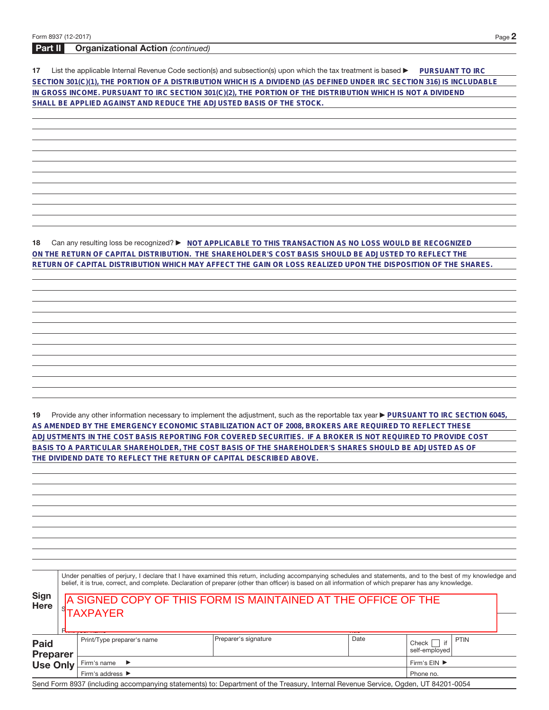## **Part II Organizational Action** (continued)

**17** List the applicable Internal Revenue Code section(s) and subsection(s) upon which the tax treatment is based **DuRSUANT TO IRC SECTION 301(C)(1), THE PORTION OF A DISTRIBUTION WHICH IS A DIVIDEND (AS DEFINED UNDER IRC SECTION 316) IS INCLUDABLE IN GROSS INCOME. PURSUANT TO IRC SECTION 301(C)(2), THE PORTION OF THE DISTRIBUTION WHICH IS NOT A DIVIDEND SHALL BE APPLIED AGAINST AND REDUCE THE ADJUSTED BASIS OF THE STOCK.**

**18** Can any resulting loss be recognized? ▶ NOT APPLICABLE TO THIS TRANSACTION AS NO LOSS WOULD BE RECOGNIZED **ON THE RETURN OF CAPITAL DISTRIBUTION. THE SHAREHOLDER'S COST BASIS SHOULD BE ADJUSTED TO REFLECT THE RETURN OF CAPITAL DISTRIBUTION WHICH MAY AFFECT THE GAIN OR LOSS REALIZED UPON THE DISPOSITION OF THE SHARES.**

19 Provide any other information necessary to implement the adjustment, such as the reportable tax year **PURSUANT TO IRC SECTION 6045**, **AS AMENDED BY THE EMERGENCY ECONOMIC STABILIZATION ACT OF 2008, BROKERS ARE REQUIRED TO REFLECT THESE ADJUSTMENTS IN THE COST BASIS REPORTING FOR COVERED SECURITIES. IF A BROKER IS NOT REQUIRED TO PROVIDE COST BASIS TO A PARTICULAR SHAREHOLDER, THE COST BASIS OF THE SHAREHOLDER'S SHARES SHOULD BE ADJUSTED AS OF THE DIVIDEND DATE TO REFLECT THE RETURN OF CAPITAL DESCRIBED ABOVE.**

| ٠      |  |
|--------|--|
| v<br>× |  |

| Under penalties of perjury, I declare that I have examined this return, including accompanying schedules and statements, and to the best of my knowledge and |  |
|--------------------------------------------------------------------------------------------------------------------------------------------------------------|--|
| belief, it is true, correct, and complete. Declaration of preparer (other than officer) is based on all information of which preparer has any knowledge.     |  |

| <b>Sign</b><br><b>Here</b>    | A SIGNED COPY OF THIS FORM IS MAINTAINED AT THE OFFICE OF THE<br><b>TAXPAYER</b> |                                                                                                                                   |      |                                       |  |  |  |  |  |  |  |
|-------------------------------|----------------------------------------------------------------------------------|-----------------------------------------------------------------------------------------------------------------------------------|------|---------------------------------------|--|--|--|--|--|--|--|
| <b><i><u>Property</u></i></b> |                                                                                  |                                                                                                                                   |      |                                       |  |  |  |  |  |  |  |
| <b>Paid</b><br>Preparer       | Print/Type preparer's name                                                       | Preparer's signature                                                                                                              | Date | <b>PTIN</b><br>Check<br>self-emploved |  |  |  |  |  |  |  |
| <b>Use Only</b>               | Firm's $EIN$ $\blacktriangleright$<br>Firm's name $\blacktriangleright$          |                                                                                                                                   |      |                                       |  |  |  |  |  |  |  |
|                               | Firm's address ▶<br>Phone no.                                                    |                                                                                                                                   |      |                                       |  |  |  |  |  |  |  |
|                               |                                                                                  | Send Form 8937 (including accompanying statements) to: Department of the Treasury, Internal Revenue Service, Ogden, UT 84201-0054 |      |                                       |  |  |  |  |  |  |  |